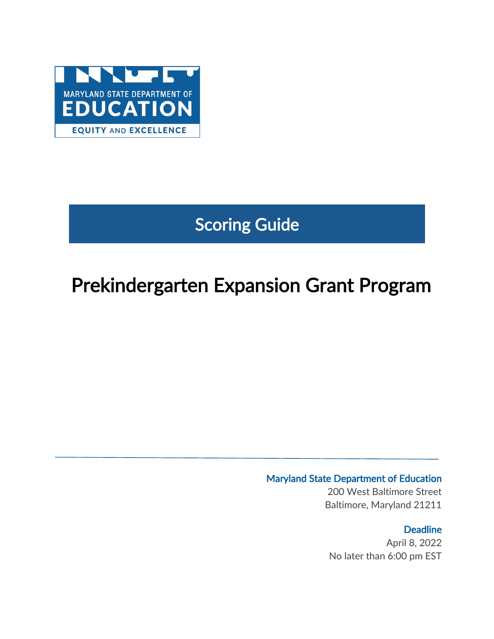

# Scoring Guide

# Prekindergarten Expansion Grant Program

### Maryland State Department of Education

200 West Baltimore Street Baltimore, Maryland 21211

### **Deadline**

April 8, 2022 No later than 6:00 pm EST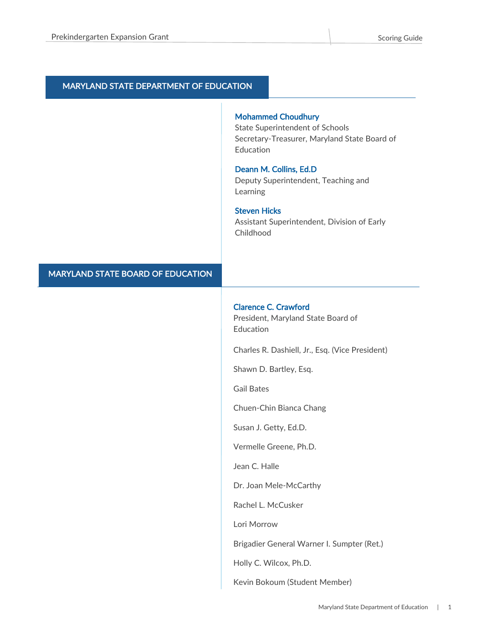#### MARYLAND STATE DEPARTMENT OF EDUCATION

#### Mohammed Choudhury

State Superintendent of Schools Secretary-Treasurer, Maryland State Board of Education

#### Deann M. Collins, Ed.D

Deputy Superintendent, Teaching and Learning

#### Steven Hicks

Assistant Superintendent, Division of Early Childhood

#### MARYLAND STATE BOARD OF EDUCATION

#### Clarence C. Crawford

President, Maryland State Board of Education

Charles R. Dashiell, Jr., Esq. (Vice President)

Shawn D. Bartley, Esq.

Gail Bates

Chuen-Chin Bianca Chang

Susan J. Getty, Ed.D.

Vermelle Greene, Ph.D.

Jean C. Halle

Dr. Joan Mele-McCarthy

Rachel L. McCusker

Lori Morrow

Brigadier General Warner I. Sumpter (Ret.)

Holly C. Wilcox, Ph.D.

Kevin Bokoum (Student Member)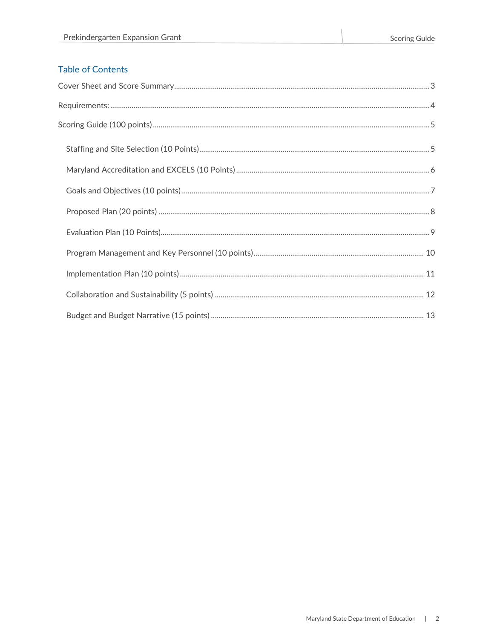### **Table of Contents**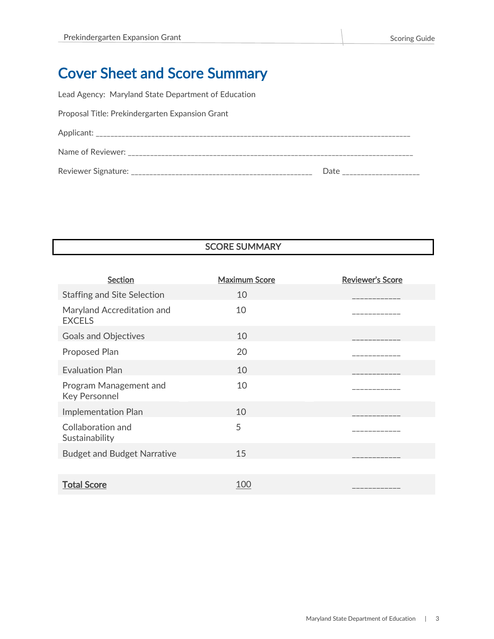# <span id="page-3-0"></span>Cover Sheet and Score Summary

Lead Agency: Maryland State Department of Education

| Proposal Title: Prekindergarten Expansion Grant |  |
|-------------------------------------------------|--|
|-------------------------------------------------|--|

| Applicant:          |      |
|---------------------|------|
| Name of Reviewer:   |      |
| Reviewer Signature: | Date |

## SCORE SUMMARY

| <b>Section</b>                                 | <b>Maximum Score</b> | <b>Reviewer's Score</b> |
|------------------------------------------------|----------------------|-------------------------|
| <b>Staffing and Site Selection</b>             | 10                   |                         |
| Maryland Accreditation and<br><b>EXCELS</b>    | 10                   | -----------             |
| <b>Goals and Objectives</b>                    | 10                   |                         |
| Proposed Plan                                  | 20                   |                         |
| <b>Evaluation Plan</b>                         | 10                   |                         |
| Program Management and<br><b>Key Personnel</b> | 10                   | ------------            |
| Implementation Plan                            | 10                   |                         |
| Collaboration and<br>Sustainability            | 5                    |                         |
| <b>Budget and Budget Narrative</b>             | 15                   |                         |
|                                                |                      |                         |
| <b>Total Score</b>                             | 100                  | ___________             |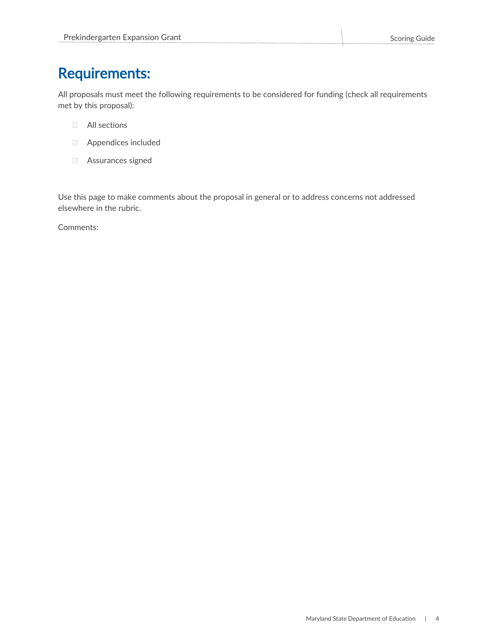# <span id="page-4-0"></span>Requirements:

All proposals must meet the following requirements to be considered for funding (check all requirements met by this proposal):

- All sections
- Appendices included
- Assurances signed

Use this page to make comments about the proposal in general or to address concerns not addressed elsewhere in the rubric.

Comments: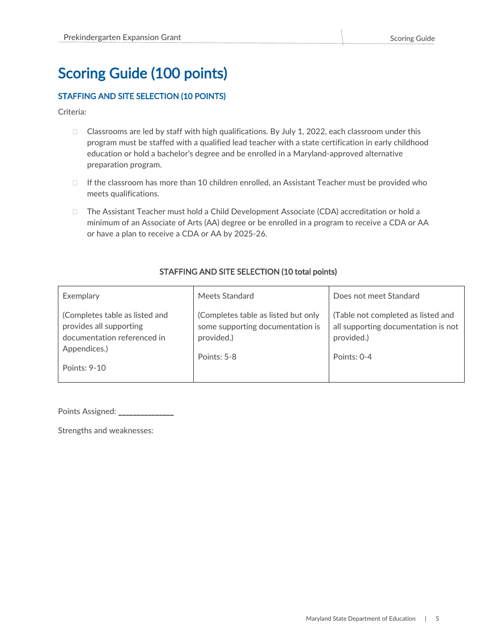# <span id="page-5-0"></span>Scoring Guide (100 points)

#### <span id="page-5-1"></span>STAFFING AND SITE SELECTION (10 POINTS)

Criteria:

- $\Box$  Classrooms are led by staff with high qualifications. By July 1, 2022, each classroom under this program must be staffed with a qualified lead teacher with a state certification in early childhood education or hold a bachelor's degree and be enrolled in a Maryland-approved alternative preparation program.
- $\Box$  If the classroom has more than 10 children enrolled, an Assistant Teacher must be provided who meets qualifications.
- □ The Assistant Teacher must hold a Child Development Associate (CDA) accreditation or hold a minimum of an Associate of Arts (AA) degree or be enrolled in a program to receive a CDA or AA or have a plan to receive a CDA or AA by 2025-26.

#### STAFFING AND SITE SELECTION (10 total points)

| Exemplary                                                                                                                | Meets Standard                                                                                       | Does not meet Standard                                                                                 |
|--------------------------------------------------------------------------------------------------------------------------|------------------------------------------------------------------------------------------------------|--------------------------------------------------------------------------------------------------------|
| (Completes table as listed and<br>provides all supporting<br>documentation referenced in<br>Appendices.)<br>Points: 9-10 | (Completes table as listed but only<br>some supporting documentation is<br>provided.)<br>Points: 5-8 | (Table not completed as listed and<br>all supporting documentation is not<br>provided.)<br>Points: 0-4 |

Points Assigned: \_\_\_\_\_\_\_\_\_\_\_\_\_\_\_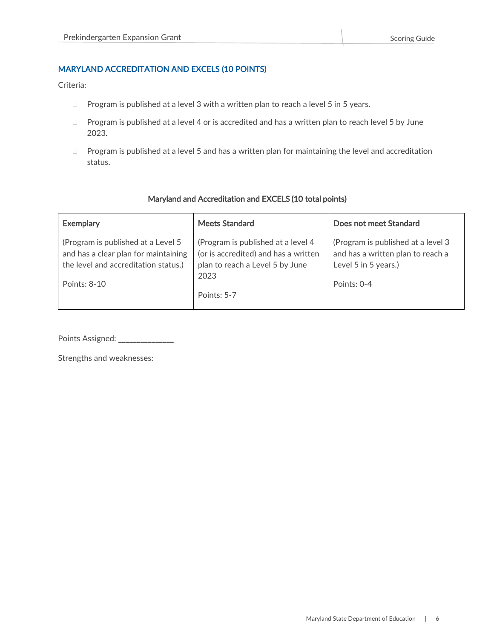#### <span id="page-6-0"></span>MARYLAND ACCREDITATION AND EXCELS (10 POINTS)

Criteria:

- $\Box$  Program is published at a level 3 with a written plan to reach a level 5 in 5 years.
- $\Box$  Program is published at a level 4 or is accredited and has a written plan to reach level 5 by June 2023.
- $\Box$  Program is published at a level 5 and has a written plan for maintaining the level and accreditation status.

#### Maryland and Accreditation and EXCELS (10 total points)

| <b>Exemplary</b>                                                                                                                   | <b>Meets Standard</b>                                                                                                 | Does not meet Standard                                                                                         |
|------------------------------------------------------------------------------------------------------------------------------------|-----------------------------------------------------------------------------------------------------------------------|----------------------------------------------------------------------------------------------------------------|
| (Program is published at a Level 5<br>and has a clear plan for maintaining<br>the level and accreditation status.)<br>Points: 8-10 | (Program is published at a level 4<br>(or is accredited) and has a written<br>plan to reach a Level 5 by June<br>2023 | (Program is published at a level 3<br>and has a written plan to reach a<br>Level 5 in 5 years.)<br>Points: 0-4 |
|                                                                                                                                    | Points: 5-7                                                                                                           |                                                                                                                |

Points Assigned: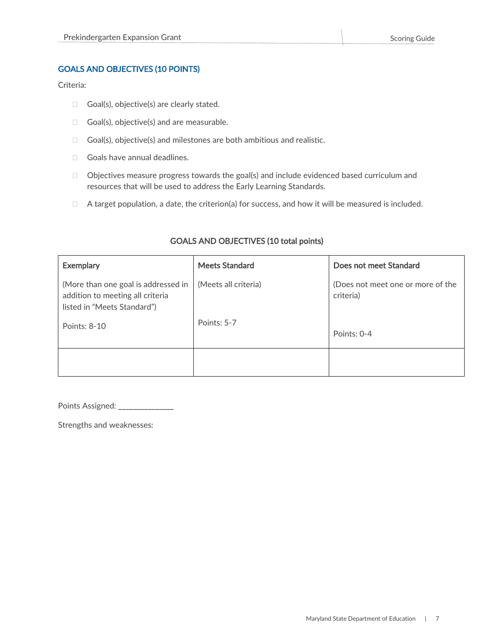#### <span id="page-7-0"></span>GOALS AND OBJECTIVES (10 POINTS)

Criteria:

- $\Box$  Goal(s), objective(s) are clearly stated.
- $\Box$  Goal(s), objective(s) and are measurable.
- $\Box$  Goal(s), objective(s) and milestones are both ambitious and realistic.
- Goals have annual deadlines.
- $\Box$  Objectives measure progress towards the goal(s) and include evidenced based curriculum and resources that will be used to address the Early Learning Standards.
- $\Box$  A target population, a date, the criterion(a) for success, and how it will be measured is included.

| <b>Exemplary</b>                                                                                       | <b>Meets Standard</b> | Does not meet Standard                         |
|--------------------------------------------------------------------------------------------------------|-----------------------|------------------------------------------------|
| (More than one goal is addressed in<br>addition to meeting all criteria<br>listed in "Meets Standard") | (Meets all criteria)  | (Does not meet one or more of the<br>criteria) |
| Points: 8-10                                                                                           | Points: 5-7           | Points: 0-4                                    |
|                                                                                                        |                       |                                                |

#### GOALS AND OBJECTIVES (10 total points)

Points Assigned: \_\_\_\_\_\_\_\_\_\_\_\_\_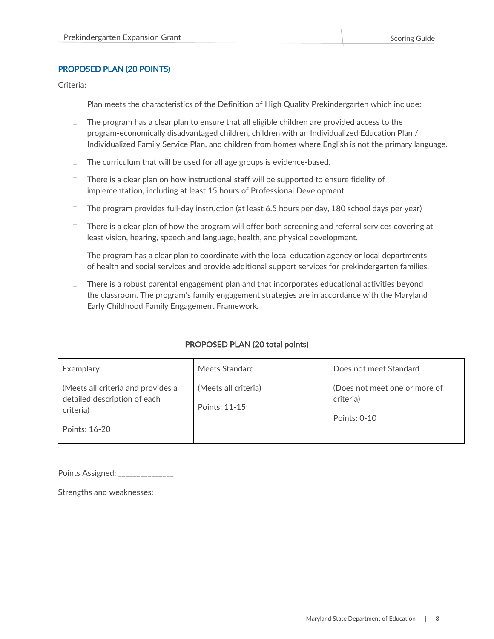#### <span id="page-8-0"></span>PROPOSED PLAN (20 POINTS)

Criteria:

- $\Box$  Plan meets the characteristics of the Definition of High Quality Prekindergarten which include:
- $\Box$  The program has a clear plan to ensure that all eligible children are provided access to the program-economically disadvantaged children, children with an Individualized Education Plan / Individualized Family Service Plan, and children from homes where English is not the primary language.
- $\Box$  The curriculum that will be used for all age groups is evidence-based.
- $\Box$  There is a clear plan on how instructional staff will be supported to ensure fidelity of implementation, including at least 15 hours of Professional Development.
- $\Box$  The program provides full-day instruction (at least 6.5 hours per day, 180 school days per year)
- $\Box$  There is a clear plan of how the program will offer both screening and referral services covering at least vision, hearing, speech and language, health, and physical development.
- $\Box$  The program has a clear plan to coordinate with the local education agency or local departments of health and social services and provide additional support services for prekindergarten families.
- $\Box$  There is a robust parental engagement plan and that incorporates educational activities beyond the classroom. The program's family engagement strategies are in accordance with the Maryland Early Childhood Family Engagement Framework.

| Exemplary                                                                                        | Meets Standard                        | Does not meet Standard                                     |
|--------------------------------------------------------------------------------------------------|---------------------------------------|------------------------------------------------------------|
| (Meets all criteria and provides a<br>detailed description of each<br>criteria)<br>Points: 16-20 | (Meets all criteria)<br>Points: 11-15 | (Does not meet one or more of<br>criteria)<br>Points: 0-10 |

#### PROPOSED PLAN (20 total points)

Points Assigned: \_\_\_\_\_\_\_\_\_\_\_\_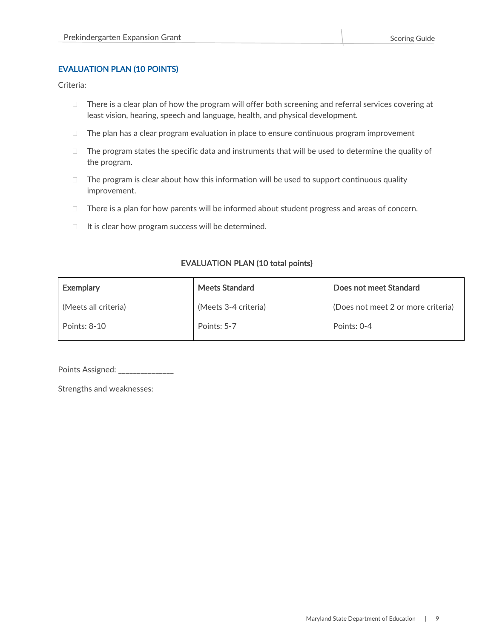#### <span id="page-9-0"></span>EVALUATION PLAN (10 POINTS)

Criteria:

- $\Box$  There is a clear plan of how the program will offer both screening and referral services covering at least vision, hearing, speech and language, health, and physical development.
- $\Box$  The plan has a clear program evaluation in place to ensure continuous program improvement
- $\Box$  The program states the specific data and instruments that will be used to determine the quality of the program.
- $\Box$  The program is clear about how this information will be used to support continuous quality improvement.
- $\Box$  There is a plan for how parents will be informed about student progress and areas of concern.
- $\Box$  It is clear how program success will be determined.

#### EVALUATION PLAN (10 total points)

| <b>Exemplary</b>     | <b>Meets Standard</b> | Does not meet Standard             |
|----------------------|-----------------------|------------------------------------|
| (Meets all criteria) | (Meets 3-4 criteria)  | (Does not meet 2 or more criteria) |
| Points: 8-10         | Points: 5-7           | Points: 0-4                        |

Points Assigned: \_\_\_\_\_\_\_\_\_\_\_\_\_\_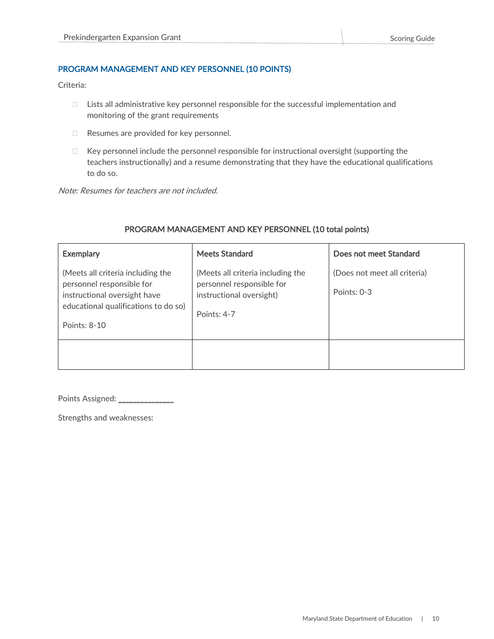#### <span id="page-10-0"></span>PROGRAM MANAGEMENT AND KEY PERSONNEL (10 POINTS)

Criteria:

- $\Box$  Lists all administrative key personnel responsible for the successful implementation and monitoring of the grant requirements
- □ Resumes are provided for key personnel.
- $\Box$  Key personnel include the personnel responsible for instructional oversight (supporting the teachers instructionally) and a resume demonstrating that they have the educational qualifications to do so.

Note: Resumes for teachers are not included.

| <b>Exemplary</b>                                                                                                                                       | <b>Meets Standard</b>                                                                                     | Does not meet Standard                      |
|--------------------------------------------------------------------------------------------------------------------------------------------------------|-----------------------------------------------------------------------------------------------------------|---------------------------------------------|
| (Meets all criteria including the<br>personnel responsible for<br>instructional oversight have<br>educational qualifications to do so)<br>Points: 8-10 | (Meets all criteria including the<br>personnel responsible for<br>instructional oversight)<br>Points: 4-7 | (Does not meet all criteria)<br>Points: 0-3 |
|                                                                                                                                                        |                                                                                                           |                                             |

#### PROGRAM MANAGEMENT AND KEY PERSONNEL (10 total points)

Points Assigned: \_\_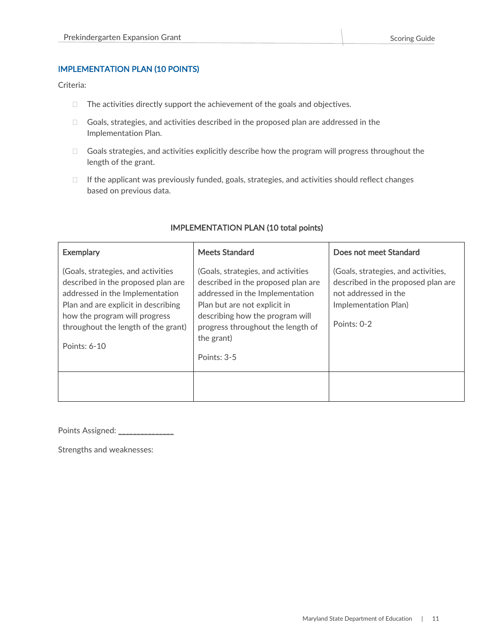#### <span id="page-11-0"></span>IMPLEMENTATION PLAN (10 POINTS)

Criteria:

- $\Box$  The activities directly support the achievement of the goals and objectives.
- □ Goals, strategies, and activities described in the proposed plan are addressed in the Implementation Plan.
- □ Goals strategies, and activities explicitly describe how the program will progress throughout the length of the grant.
- $\Box$  If the applicant was previously funded, goals, strategies, and activities should reflect changes based on previous data.

| <b>Exemplary</b>                                                                                                                                                                                                                           | <b>Meets Standard</b>                                                                                                                                                                                                                              | Does not meet Standard                                                                                                                   |
|--------------------------------------------------------------------------------------------------------------------------------------------------------------------------------------------------------------------------------------------|----------------------------------------------------------------------------------------------------------------------------------------------------------------------------------------------------------------------------------------------------|------------------------------------------------------------------------------------------------------------------------------------------|
| (Goals, strategies, and activities<br>described in the proposed plan are<br>addressed in the Implementation<br>Plan and are explicit in describing<br>how the program will progress<br>throughout the length of the grant)<br>Points: 6-10 | (Goals, strategies, and activities<br>described in the proposed plan are<br>addressed in the Implementation<br>Plan but are not explicit in<br>describing how the program will<br>progress throughout the length of<br>the grant)<br>Points: $3-5$ | (Goals, strategies, and activities,<br>described in the proposed plan are<br>not addressed in the<br>Implementation Plan)<br>Points: 0-2 |
|                                                                                                                                                                                                                                            |                                                                                                                                                                                                                                                    |                                                                                                                                          |

#### IMPLEMENTATION PLAN (10 total points)

Points Assigned: \_\_\_\_\_\_\_\_\_\_\_\_\_\_\_\_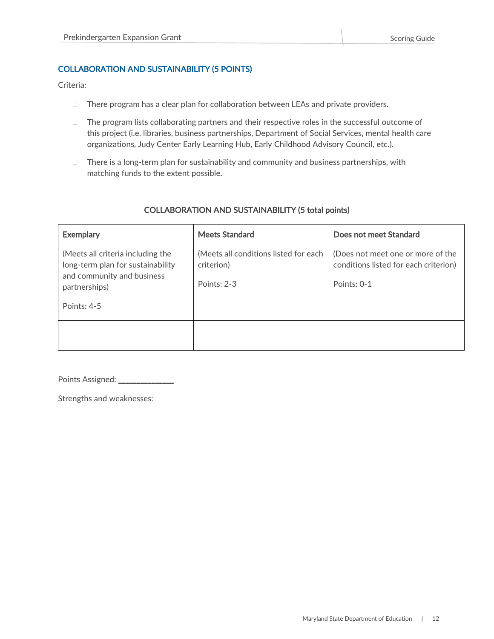#### <span id="page-12-0"></span>COLLABORATION AND SUSTAINABILITY (5 POINTS)

Criteria:

- $\Box$  There program has a clear plan for collaboration between LEAs and private providers.
- $\Box$  The program lists collaborating partners and their respective roles in the successful outcome of this project (i.e. libraries, business partnerships, Department of Social Services, mental health care organizations, Judy Center Early Learning Hub, Early Childhood Advisory Council, etc.).
- $\Box$  There is a long-term plan for sustainability and community and business partnerships, with matching funds to the extent possible.

| <b>Exemplary</b>                                                                                                      | <b>Meets Standard</b>                                              | Does not meet Standard                                                                    |
|-----------------------------------------------------------------------------------------------------------------------|--------------------------------------------------------------------|-------------------------------------------------------------------------------------------|
| (Meets all criteria including the<br>long-term plan for sustainability<br>and community and business<br>partnerships) | (Meets all conditions listed for each<br>criterion)<br>Points: 2-3 | (Does not meet one or more of the<br>conditions listed for each criterion)<br>Points: 0-1 |
| Points: 4-5                                                                                                           |                                                                    |                                                                                           |
|                                                                                                                       |                                                                    |                                                                                           |

#### COLLABORATION AND SUSTAINABILITY (5 total points)

Points Assigned: \_\_\_\_\_\_\_\_\_\_\_\_\_\_\_